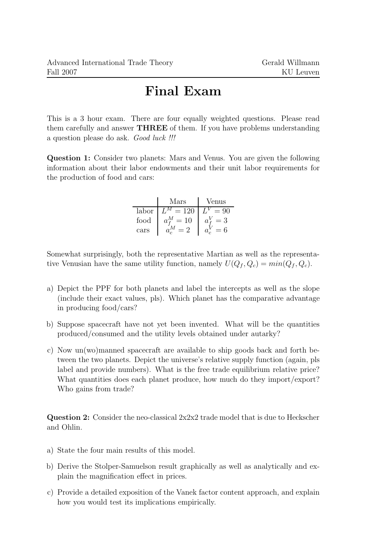## Final Exam

This is a 3 hour exam. There are four equally weighted questions. Please read them carefully and answer THREE of them. If you have problems understanding a question please do ask. Good luck !!!

Question 1: Consider two planets: Mars and Venus. You are given the following information about their labor endowments and their unit labor requirements for the production of food and cars:

|       | Mars                   | /enus |
|-------|------------------------|-------|
| labor | $-120$                 |       |
| food  | 10<br>$a_{\mathbf{r}}$ | 3     |
| cars  |                        | 6     |

Somewhat surprisingly, both the representative Martian as well as the representative Venusian have the same utility function, namely  $U(Q_f, Q_c) = min(Q_f, Q_c)$ .

- a) Depict the PPF for both planets and label the intercepts as well as the slope (include their exact values, pls). Which planet has the comparative advantage in producing food/cars?
- b) Suppose spacecraft have not yet been invented. What will be the quantities produced/consumed and the utility levels obtained under autarky?
- c) Now un(wo)manned spacecraft are available to ship goods back and forth between the two planets. Depict the universe's relative supply function (again, pls label and provide numbers). What is the free trade equilibrium relative price? What quantities does each planet produce, how much do they import/export? Who gains from trade?

**Question 2:** Consider the neo-classical  $2x2x2$  trade model that is due to Heckscher and Ohlin.

- a) State the four main results of this model.
- b) Derive the Stolper-Samuelson result graphically as well as analytically and explain the magnification effect in prices.
- c) Provide a detailed exposition of the Vanek factor content approach, and explain how you would test its implications empirically.